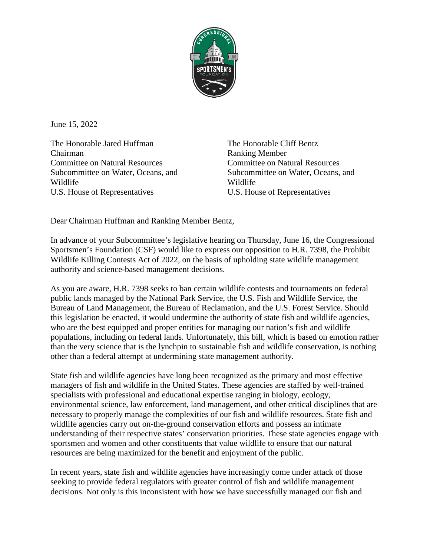

June 15, 2022

The Honorable Jared Huffman Chairman Committee on Natural Resources Subcommittee on Water, Oceans, and Wildlife U.S. House of Representatives

The Honorable Cliff Bentz Ranking Member Committee on Natural Resources Subcommittee on Water, Oceans, and Wildlife U.S. House of Representatives

Dear Chairman Huffman and Ranking Member Bentz,

In advance of your Subcommittee's legislative hearing on Thursday, June 16, the Congressional Sportsmen's Foundation (CSF) would like to express our opposition to H.R. 7398, the Prohibit Wildlife Killing Contests Act of 2022, on the basis of upholding state wildlife management authority and science-based management decisions.

As you are aware, H.R. 7398 seeks to ban certain wildlife contests and tournaments on federal public lands managed by the National Park Service, the U.S. Fish and Wildlife Service, the Bureau of Land Management, the Bureau of Reclamation, and the U.S. Forest Service. Should this legislation be enacted, it would undermine the authority of state fish and wildlife agencies, who are the best equipped and proper entities for managing our nation's fish and wildlife populations, including on federal lands. Unfortunately, this bill, which is based on emotion rather than the very science that is the lynchpin to sustainable fish and wildlife conservation, is nothing other than a federal attempt at undermining state management authority.

State fish and wildlife agencies have long been recognized as the primary and most effective managers of fish and wildlife in the United States. These agencies are staffed by well-trained specialists with professional and educational expertise ranging in biology, ecology, environmental science, law enforcement, land management, and other critical disciplines that are necessary to properly manage the complexities of our fish and wildlife resources. State fish and wildlife agencies carry out on-the-ground conservation efforts and possess an intimate understanding of their respective states' conservation priorities. These state agencies engage with sportsmen and women and other constituents that value wildlife to ensure that our natural resources are being maximized for the benefit and enjoyment of the public.

In recent years, state fish and wildlife agencies have increasingly come under attack of those seeking to provide federal regulators with greater control of fish and wildlife management decisions. Not only is this inconsistent with how we have successfully managed our fish and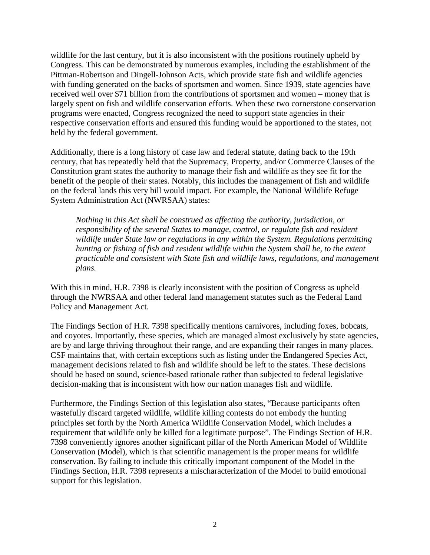wildlife for the last century, but it is also inconsistent with the positions routinely upheld by Congress. This can be demonstrated by numerous examples, including the establishment of the Pittman-Robertson and Dingell-Johnson Acts, which provide state fish and wildlife agencies with funding generated on the backs of sportsmen and women. Since 1939, state agencies have received well over \$71 billion from the contributions of sportsmen and women – money that is largely spent on fish and wildlife conservation efforts. When these two cornerstone conservation programs were enacted, Congress recognized the need to support state agencies in their respective conservation efforts and ensured this funding would be apportioned to the states, not held by the federal government.

Additionally, there is a long history of case law and federal statute, dating back to the 19th century, that has repeatedly held that the Supremacy, Property, and/or Commerce Clauses of the Constitution grant states the authority to manage their fish and wildlife as they see fit for the benefit of the people of their states. Notably, this includes the management of fish and wildlife on the federal lands this very bill would impact. For example, the National Wildlife Refuge System Administration Act (NWRSAA) states:

*Nothing in this Act shall be construed as affecting the authority, jurisdiction, or responsibility of the several States to manage, control, or regulate fish and resident wildlife under State law or regulations in any within the System. Regulations permitting hunting or fishing of fish and resident wildlife within the System shall be, to the extent practicable and consistent with State fish and wildlife laws, regulations, and management plans.* 

With this in mind, H.R. 7398 is clearly inconsistent with the position of Congress as upheld through the NWRSAA and other federal land management statutes such as the Federal Land Policy and Management Act.

The Findings Section of H.R. 7398 specifically mentions carnivores, including foxes, bobcats, and coyotes. Importantly, these species, which are managed almost exclusively by state agencies, are by and large thriving throughout their range, and are expanding their ranges in many places. CSF maintains that, with certain exceptions such as listing under the Endangered Species Act, management decisions related to fish and wildlife should be left to the states. These decisions should be based on sound, science-based rationale rather than subjected to federal legislative decision-making that is inconsistent with how our nation manages fish and wildlife.

Furthermore, the Findings Section of this legislation also states, "Because participants often wastefully discard targeted wildlife, wildlife killing contests do not embody the hunting principles set forth by the North America Wildlife Conservation Model, which includes a requirement that wildlife only be killed for a legitimate purpose". The Findings Section of H.R. 7398 conveniently ignores another significant pillar of the North American Model of Wildlife Conservation (Model), which is that scientific management is the proper means for wildlife conservation. By failing to include this critically important component of the Model in the Findings Section, H.R. 7398 represents a mischaracterization of the Model to build emotional support for this legislation.